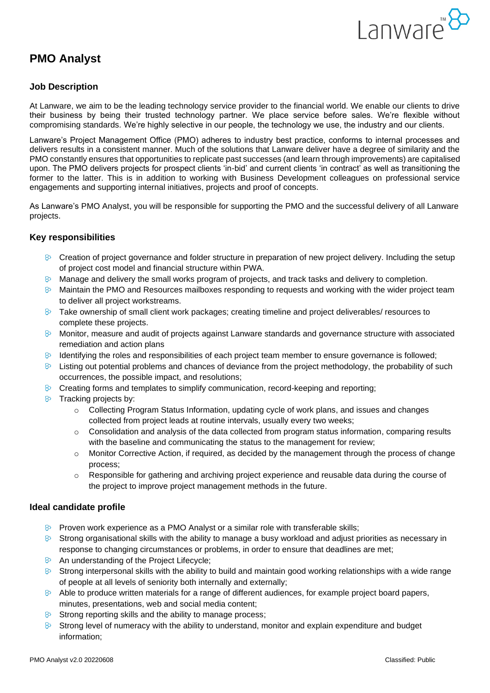

# **PMO Analyst**

## **Job Description**

At Lanware, we aim to be the leading technology service provider to the financial world. We enable our clients to drive their business by being their trusted technology partner. We place service before sales. We're flexible without compromising standards. We're highly selective in our people, the technology we use, the industry and our clients.

Lanware's Project Management Office (PMO) adheres to industry best practice, conforms to internal processes and delivers results in a consistent manner. Much of the solutions that Lanware deliver have a degree of similarity and the PMO constantly ensures that opportunities to replicate past successes (and learn through improvements) are capitalised upon. The PMO delivers projects for prospect clients 'in-bid' and current clients 'in contract' as well as transitioning the former to the latter. This is in addition to working with Business Development colleagues on professional service engagements and supporting internal initiatives, projects and proof of concepts.

As Lanware's PMO Analyst, you will be responsible for supporting the PMO and the successful delivery of all Lanware projects.

## **Key responsibilities**

- $\odot$  Creation of project governance and folder structure in preparation of new project delivery. Including the setup of project cost model and financial structure within PWA.
- $\odot$  Manage and delivery the small works program of projects, and track tasks and delivery to completion.
- $\odot$  Maintain the PMO and Resources mailboxes responding to requests and working with the wider project team to deliver all project workstreams.
- $\odot$  Take ownership of small client work packages; creating timeline and project deliverables/ resources to complete these projects.
- $\triangleright$  Monitor, measure and audit of projects against Lanware standards and governance structure with associated remediation and action plans
- $8^{\circ}$ Identifying the roles and responsibilities of each project team member to ensure governance is followed;
- $\odot$  Listing out potential problems and chances of deviance from the project methodology, the probability of such occurrences, the possible impact, and resolutions;
- $\odot$  Creating forms and templates to simplify communication, record-keeping and reporting;
- $\theta$  Tracking projects by:
	- $\circ$  Collecting Program Status Information, updating cycle of work plans, and issues and changes collected from project leads at routine intervals, usually every two weeks;
	- $\circ$  Consolidation and analysis of the data collected from program status information, comparing results with the baseline and communicating the status to the management for review;
	- $\circ$  Monitor Corrective Action, if required, as decided by the management through the process of change process;
	- $\circ$  Responsible for gathering and archiving project experience and reusable data during the course of the project to improve project management methods in the future.

#### **Ideal candidate profile**

- $\odot$  Proven work experience as a PMO Analyst or a similar role with transferable skills;
- $\degree$  Strong organisational skills with the ability to manage a busy workload and adjust priorities as necessary in response to changing circumstances or problems, in order to ensure that deadlines are met;
- 8 An understanding of the Project Lifecycle;
- $\delta$  Strong interpersonal skills with the ability to build and maintain good working relationships with a wide range of people at all levels of seniority both internally and externally;
- $\Diamond$  Able to produce written materials for a range of different audiences, for example project board papers, minutes, presentations, web and social media content;
- $\infty$ Strong reporting skills and the ability to manage process;
- $\odot$  Strong level of numeracy with the ability to understand, monitor and explain expenditure and budget information;